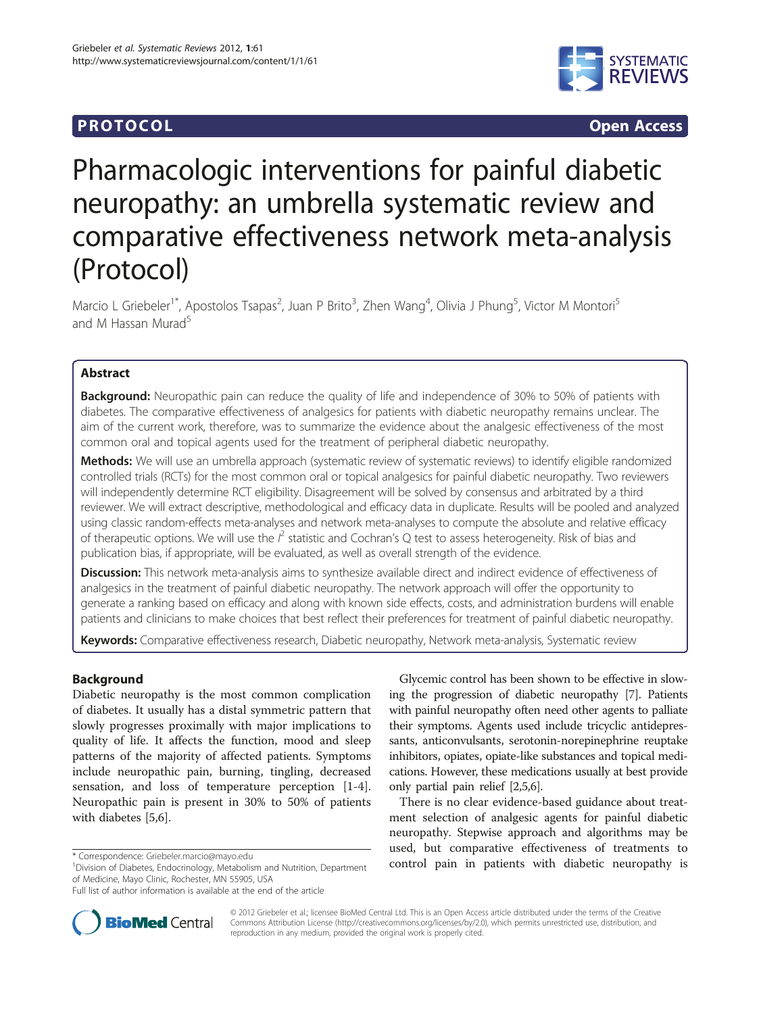## **PROTOCOL CONSUMING ACCESS**



# Pharmacologic interventions for painful diabetic neuropathy: an umbrella systematic review and comparative effectiveness network meta-analysis (Protocol)

Marcio L Griebeler<sup>1\*</sup>, Apostolos Tsapas<sup>2</sup>, Juan P Brito<sup>3</sup>, Zhen Wang<sup>4</sup>, Olivia J Phung<sup>5</sup>, Victor M Montori<sup>5</sup> and M Hassan Murad<sup>5</sup>

## Abstract

Background: Neuropathic pain can reduce the quality of life and independence of 30% to 50% of patients with diabetes. The comparative effectiveness of analgesics for patients with diabetic neuropathy remains unclear. The aim of the current work, therefore, was to summarize the evidence about the analgesic effectiveness of the most common oral and topical agents used for the treatment of peripheral diabetic neuropathy.

Methods: We will use an umbrella approach (systematic review of systematic reviews) to identify eligible randomized controlled trials (RCTs) for the most common oral or topical analgesics for painful diabetic neuropathy. Two reviewers will independently determine RCT eligibility. Disagreement will be solved by consensus and arbitrated by a third reviewer. We will extract descriptive, methodological and efficacy data in duplicate. Results will be pooled and analyzed using classic random-effects meta-analyses and network meta-analyses to compute the absolute and relative efficacy of therapeutic options. We will use the  $l^2$  statistic and Cochran's Q test to assess heterogeneity. Risk of bias and publication bias, if appropriate, will be evaluated, as well as overall strength of the evidence.

Discussion: This network meta-analysis aims to synthesize available direct and indirect evidence of effectiveness of analgesics in the treatment of painful diabetic neuropathy. The network approach will offer the opportunity to generate a ranking based on efficacy and along with known side effects, costs, and administration burdens will enable patients and clinicians to make choices that best reflect their preferences for treatment of painful diabetic neuropathy.

Keywords: Comparative effectiveness research, Diabetic neuropathy, Network meta-analysis, Systematic review

## Background

Diabetic neuropathy is the most common complication of diabetes. It usually has a distal symmetric pattern that slowly progresses proximally with major implications to quality of life. It affects the function, mood and sleep patterns of the majority of affected patients. Symptoms include neuropathic pain, burning, tingling, decreased sensation, and loss of temperature perception [[1-4](#page-5-0)]. Neuropathic pain is present in 30% to 50% of patients with diabetes [[5,6\]](#page-5-0).

Glycemic control has been shown to be effective in slowing the progression of diabetic neuropathy [\[7\]](#page-5-0). Patients with painful neuropathy often need other agents to palliate their symptoms. Agents used include tricyclic antidepressants, anticonvulsants, serotonin-norepinephrine reuptake inhibitors, opiates, opiate-like substances and topical medications. However, these medications usually at best provide only partial pain relief [[2,5,6](#page-5-0)].

There is no clear evidence-based guidance about treatment selection of analgesic agents for painful diabetic neuropathy. Stepwise approach and algorithms may be used, but comparative effectiveness of treatments to \* Correspondence: [Griebeler.marcio@mayo.edu](mailto:Griebeler.marcio@mayo.edu) **1996**<br><sup>1</sup>Division of Diabetes Endocrinology Metabolism and Nutrition Department **control pain in patients with diabetic neuropathy is** 



© 2012 Griebeler et al.; licensee BioMed Central Ltd. This is an Open Access article distributed under the terms of the Creative Commons Attribution License [\(http://creativecommons.org/licenses/by/2.0\)](http://creativecommons.org/licenses/by/2.0), which permits unrestricted use, distribution, and reproduction in any medium, provided the original work is properly cited.

<sup>&</sup>lt;sup>1</sup> Division of Diabetes, Endocrinology, Metabolism and Nutrition, Department of Medicine, Mayo Clinic, Rochester, MN 55905, USA

Full list of author information is available at the end of the article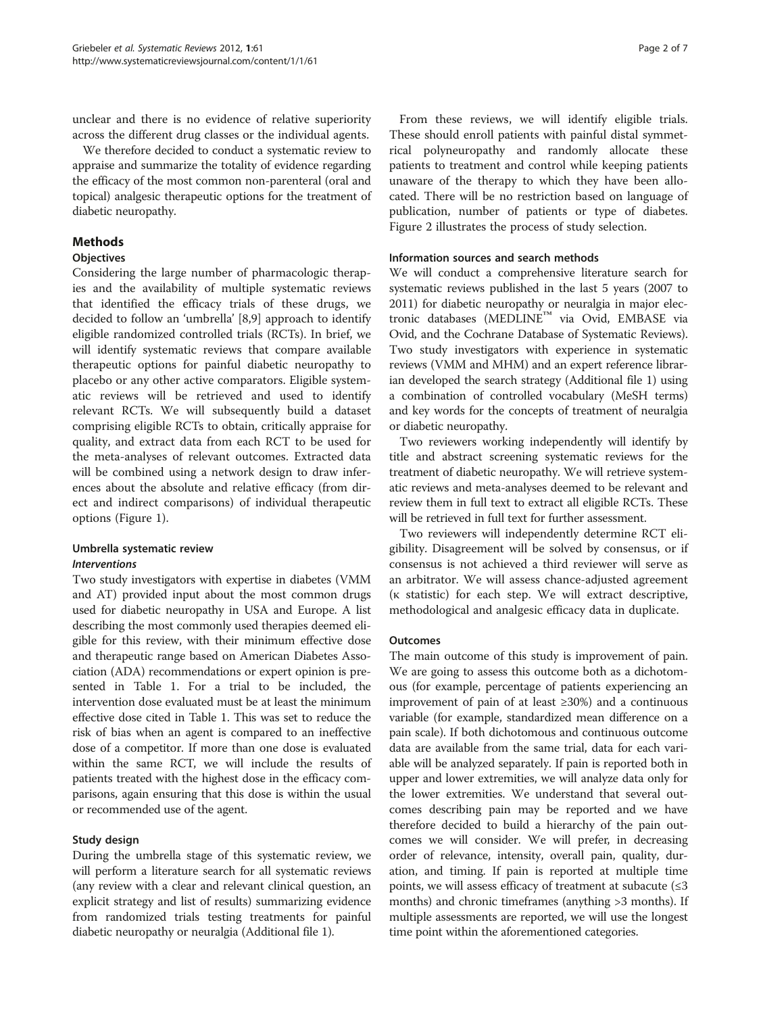unclear and there is no evidence of relative superiority across the different drug classes or the individual agents.

We therefore decided to conduct a systematic review to appraise and summarize the totality of evidence regarding the efficacy of the most common non-parenteral (oral and topical) analgesic therapeutic options for the treatment of diabetic neuropathy.

## Methods

## **Objectives**

Considering the large number of pharmacologic therapies and the availability of multiple systematic reviews that identified the efficacy trials of these drugs, we decided to follow an 'umbrella' [[8,9\]](#page-6-0) approach to identify eligible randomized controlled trials (RCTs). In brief, we will identify systematic reviews that compare available therapeutic options for painful diabetic neuropathy to placebo or any other active comparators. Eligible systematic reviews will be retrieved and used to identify relevant RCTs. We will subsequently build a dataset comprising eligible RCTs to obtain, critically appraise for quality, and extract data from each RCT to be used for the meta-analyses of relevant outcomes. Extracted data will be combined using a network design to draw inferences about the absolute and relative efficacy (from direct and indirect comparisons) of individual therapeutic options (Figure [1\)](#page-2-0).

## Umbrella systematic review Interventions

Two study investigators with expertise in diabetes (VMM and AT) provided input about the most common drugs used for diabetic neuropathy in USA and Europe. A list describing the most commonly used therapies deemed eligible for this review, with their minimum effective dose and therapeutic range based on American Diabetes Association (ADA) recommendations or expert opinion is presented in Table [1](#page-3-0). For a trial to be included, the intervention dose evaluated must be at least the minimum effective dose cited in Table [1.](#page-3-0) This was set to reduce the risk of bias when an agent is compared to an ineffective dose of a competitor. If more than one dose is evaluated within the same RCT, we will include the results of patients treated with the highest dose in the efficacy comparisons, again ensuring that this dose is within the usual or recommended use of the agent.

## Study design

During the umbrella stage of this systematic review, we will perform a literature search for all systematic reviews (any review with a clear and relevant clinical question, an explicit strategy and list of results) summarizing evidence from randomized trials testing treatments for painful diabetic neuropathy or neuralgia (Additional file [1\)](#page-5-0).

From these reviews, we will identify eligible trials. These should enroll patients with painful distal symmetrical polyneuropathy and randomly allocate these patients to treatment and control while keeping patients unaware of the therapy to which they have been allocated. There will be no restriction based on language of publication, number of patients or type of diabetes. Figure [2](#page-4-0) illustrates the process of study selection.

### Information sources and search methods

We will conduct a comprehensive literature search for systematic reviews published in the last 5 years (2007 to 2011) for diabetic neuropathy or neuralgia in major electronic databases (MEDLINE™ via Ovid, EMBASE via Ovid, and the Cochrane Database of Systematic Reviews). Two study investigators with experience in systematic reviews (VMM and MHM) and an expert reference librarian developed the search strategy (Additional file [1\)](#page-5-0) using a combination of controlled vocabulary (MeSH terms) and key words for the concepts of treatment of neuralgia or diabetic neuropathy.

Two reviewers working independently will identify by title and abstract screening systematic reviews for the treatment of diabetic neuropathy. We will retrieve systematic reviews and meta-analyses deemed to be relevant and review them in full text to extract all eligible RCTs. These will be retrieved in full text for further assessment.

Two reviewers will independently determine RCT eligibility. Disagreement will be solved by consensus, or if consensus is not achieved a third reviewer will serve as an arbitrator. We will assess chance-adjusted agreement (κ statistic) for each step. We will extract descriptive, methodological and analgesic efficacy data in duplicate.

## **Outcomes**

The main outcome of this study is improvement of pain. We are going to assess this outcome both as a dichotomous (for example, percentage of patients experiencing an improvement of pain of at least ≥30%) and a continuous variable (for example, standardized mean difference on a pain scale). If both dichotomous and continuous outcome data are available from the same trial, data for each variable will be analyzed separately. If pain is reported both in upper and lower extremities, we will analyze data only for the lower extremities. We understand that several outcomes describing pain may be reported and we have therefore decided to build a hierarchy of the pain outcomes we will consider. We will prefer, in decreasing order of relevance, intensity, overall pain, quality, duration, and timing. If pain is reported at multiple time points, we will assess efficacy of treatment at subacute  $(\leq 3)$ months) and chronic timeframes (anything >3 months). If multiple assessments are reported, we will use the longest time point within the aforementioned categories.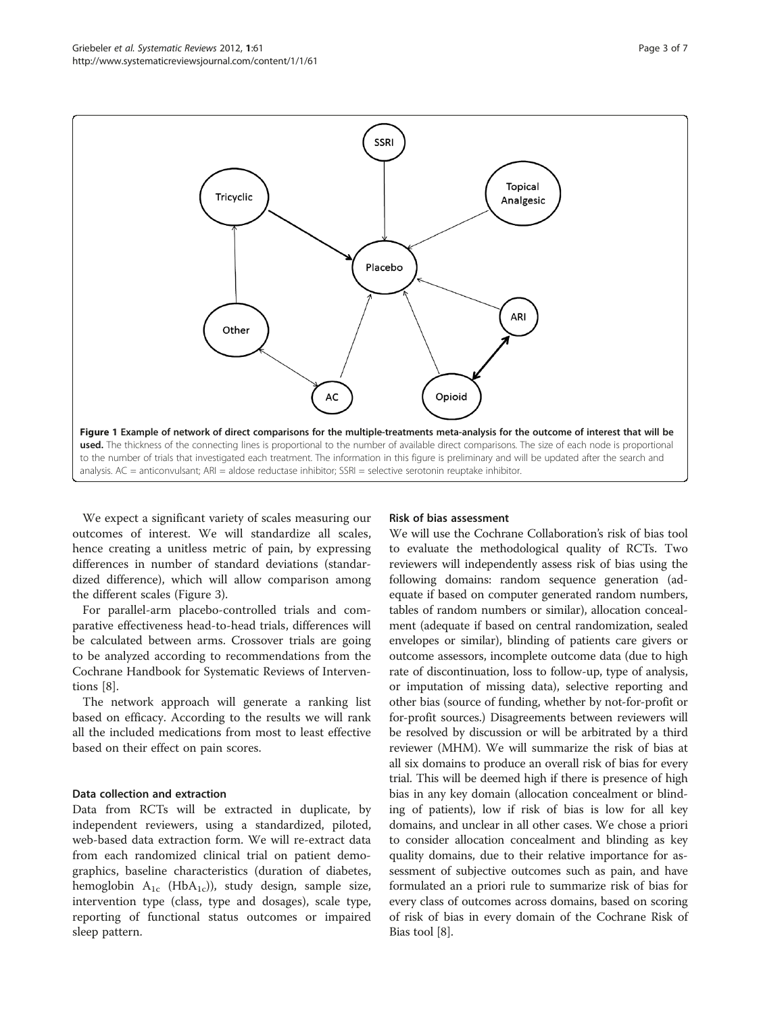<span id="page-2-0"></span>

We expect a significant variety of scales measuring our outcomes of interest. We will standardize all scales, hence creating a unitless metric of pain, by expressing differences in number of standard deviations (standardized difference), which will allow comparison among the different scales (Figure [3](#page-4-0)).

For parallel-arm placebo-controlled trials and comparative effectiveness head-to-head trials, differences will be calculated between arms. Crossover trials are going to be analyzed according to recommendations from the Cochrane Handbook for Systematic Reviews of Interventions [[8\]](#page-6-0).

The network approach will generate a ranking list based on efficacy. According to the results we will rank all the included medications from most to least effective based on their effect on pain scores.

## Data collection and extraction

Data from RCTs will be extracted in duplicate, by independent reviewers, using a standardized, piloted, web-based data extraction form. We will re-extract data from each randomized clinical trial on patient demographics, baseline characteristics (duration of diabetes, hemoglobin  $A_{1c}$  (Hb $A_{1c}$ )), study design, sample size, intervention type (class, type and dosages), scale type, reporting of functional status outcomes or impaired sleep pattern.

#### Risk of bias assessment

We will use the Cochrane Collaboration's risk of bias tool to evaluate the methodological quality of RCTs. Two reviewers will independently assess risk of bias using the following domains: random sequence generation (adequate if based on computer generated random numbers, tables of random numbers or similar), allocation concealment (adequate if based on central randomization, sealed envelopes or similar), blinding of patients care givers or outcome assessors, incomplete outcome data (due to high rate of discontinuation, loss to follow-up, type of analysis, or imputation of missing data), selective reporting and other bias (source of funding, whether by not-for-profit or for-profit sources.) Disagreements between reviewers will be resolved by discussion or will be arbitrated by a third reviewer (MHM). We will summarize the risk of bias at all six domains to produce an overall risk of bias for every trial. This will be deemed high if there is presence of high bias in any key domain (allocation concealment or blinding of patients), low if risk of bias is low for all key domains, and unclear in all other cases. We chose a priori to consider allocation concealment and blinding as key quality domains, due to their relative importance for assessment of subjective outcomes such as pain, and have formulated an a priori rule to summarize risk of bias for every class of outcomes across domains, based on scoring of risk of bias in every domain of the Cochrane Risk of Bias tool [\[8\]](#page-6-0).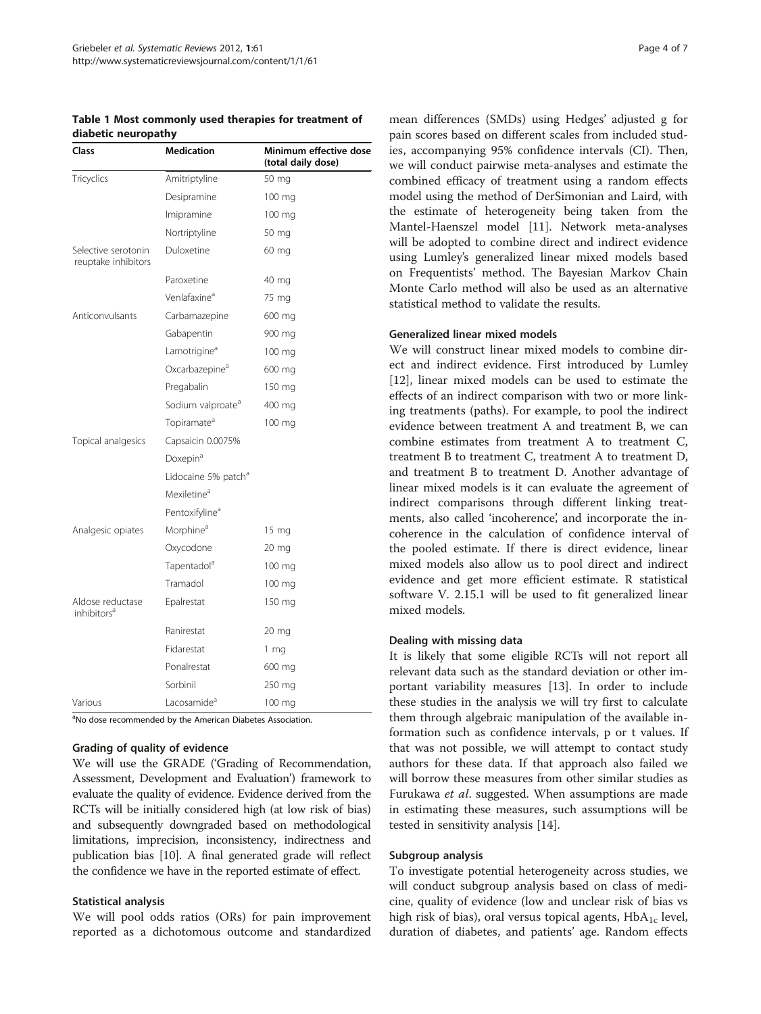#### <span id="page-3-0"></span>Table 1 Most commonly used therapies for treatment of diabetic neuropathy

| Class                                       | Medication                      | Minimum effective dose<br>(total daily dose) |
|---------------------------------------------|---------------------------------|----------------------------------------------|
| Tricyclics                                  | Amitriptyline                   | 50 mg                                        |
|                                             | Desipramine                     | 100 mg                                       |
|                                             | Imipramine                      | 100 mg                                       |
|                                             | Nortriptyline                   | 50 mg                                        |
| Selective serotonin<br>reuptake inhibitors  | Duloxetine                      | 60 mg                                        |
|                                             | Paroxetine                      | 40 mg                                        |
|                                             | Venlafaxine <sup>a</sup>        | 75 mg                                        |
| Anticonvulsants                             | Carbamazepine                   | 600 mg                                       |
|                                             | Gabapentin                      | 900 mg                                       |
|                                             | Lamotrigine <sup>a</sup>        | 100 mg                                       |
|                                             | Oxcarbazepine <sup>a</sup>      | 600 mg                                       |
|                                             | Pregabalin                      | $150 \text{ mg}$                             |
|                                             | Sodium valproate <sup>a</sup>   | 400 mg                                       |
|                                             | Topiramate <sup>a</sup>         | 100 mg                                       |
| Topical analgesics                          | Capsaicin 0.0075%               |                                              |
|                                             | Doxepin <sup>a</sup>            |                                              |
|                                             | Lidocaine 5% patch <sup>a</sup> |                                              |
|                                             | Mexiletine <sup>a</sup>         |                                              |
|                                             | Pentoxifyline <sup>a</sup>      |                                              |
| Analgesic opiates                           | Morphine <sup>a</sup>           | 15 mg                                        |
|                                             | Oxycodone                       | 20 mg                                        |
|                                             | Tapentadol <sup>a</sup>         | 100 mg                                       |
|                                             | Tramadol                        | 100 mg                                       |
| Aldose reductase<br>inhibitors <sup>a</sup> | Epalrestat                      | 150 mg                                       |
|                                             | Ranirestat                      | 20 mg                                        |
|                                             | Fidarestat                      | 1 mg                                         |
|                                             | Ponalrestat                     | 600 mg                                       |
|                                             | Sorbinil                        | 250 mg                                       |
| Various                                     | Lacosamide <sup>a</sup>         | 100 mg                                       |

<sup>a</sup>No dose recommended by the American Diabetes Association.

#### Grading of quality of evidence

We will use the GRADE ('Grading of Recommendation, Assessment, Development and Evaluation') framework to evaluate the quality of evidence. Evidence derived from the RCTs will be initially considered high (at low risk of bias) and subsequently downgraded based on methodological limitations, imprecision, inconsistency, indirectness and publication bias [[10](#page-6-0)]. A final generated grade will reflect the confidence we have in the reported estimate of effect.

#### Statistical analysis

We will pool odds ratios (ORs) for pain improvement reported as a dichotomous outcome and standardized

mean differences (SMDs) using Hedges' adjusted g for pain scores based on different scales from included studies, accompanying 95% confidence intervals (CI). Then, we will conduct pairwise meta-analyses and estimate the combined efficacy of treatment using a random effects model using the method of DerSimonian and Laird, with the estimate of heterogeneity being taken from the Mantel-Haenszel model [[11\]](#page-6-0). Network meta-analyses will be adopted to combine direct and indirect evidence using Lumley's generalized linear mixed models based on Frequentists' method. The Bayesian Markov Chain Monte Carlo method will also be used as an alternative statistical method to validate the results.

#### Generalized linear mixed models

We will construct linear mixed models to combine direct and indirect evidence. First introduced by Lumley [[12\]](#page-6-0), linear mixed models can be used to estimate the effects of an indirect comparison with two or more linking treatments (paths). For example, to pool the indirect evidence between treatment A and treatment B, we can combine estimates from treatment A to treatment C, treatment B to treatment C, treatment A to treatment D, and treatment B to treatment D. Another advantage of linear mixed models is it can evaluate the agreement of indirect comparisons through different linking treatments, also called 'incoherence', and incorporate the incoherence in the calculation of confidence interval of the pooled estimate. If there is direct evidence, linear mixed models also allow us to pool direct and indirect evidence and get more efficient estimate. R statistical software V. 2.15.1 will be used to fit generalized linear mixed models.

#### Dealing with missing data

It is likely that some eligible RCTs will not report all relevant data such as the standard deviation or other important variability measures [[13](#page-6-0)]. In order to include these studies in the analysis we will try first to calculate them through algebraic manipulation of the available information such as confidence intervals, p or t values. If that was not possible, we will attempt to contact study authors for these data. If that approach also failed we will borrow these measures from other similar studies as Furukawa et al. suggested. When assumptions are made in estimating these measures, such assumptions will be tested in sensitivity analysis [\[14](#page-6-0)].

#### Subgroup analysis

To investigate potential heterogeneity across studies, we will conduct subgroup analysis based on class of medicine, quality of evidence (low and unclear risk of bias vs high risk of bias), oral versus topical agents,  $HbA_{1c}$  level, duration of diabetes, and patients' age. Random effects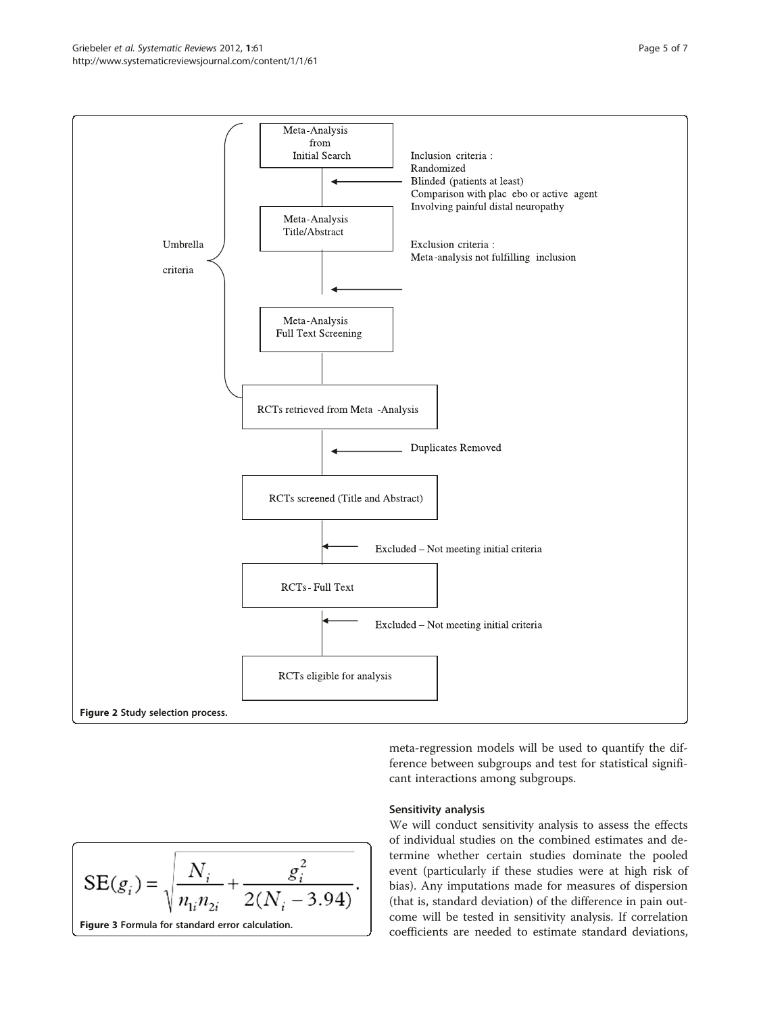<span id="page-4-0"></span>Griebeler et al. Systematic Reviews 2012, 1:61 Page 5 of 7 Page 5 of 7 http://www.systematicreviewsjournal.com/content/1/1/61



$$
SE(g_i) = \sqrt{\frac{N_i}{n_{1i}n_{2i}} + \frac{g_i^2}{2(N_i - 3.94)}}.
$$
  
Figure 3 Formula for standard error calculation.

meta-regression models will be used to quantify the difference between subgroups and test for statistical significant interactions among subgroups.

## Sensitivity analysis

We will conduct sensitivity analysis to assess the effects of individual studies on the combined estimates and determine whether certain studies dominate the pooled event (particularly if these studies were at high risk of bias). Any imputations made for measures of dispersion (that is, standard deviation) of the difference in pain outcome will be tested in sensitivity analysis. If correlation coefficients are needed to estimate standard deviations,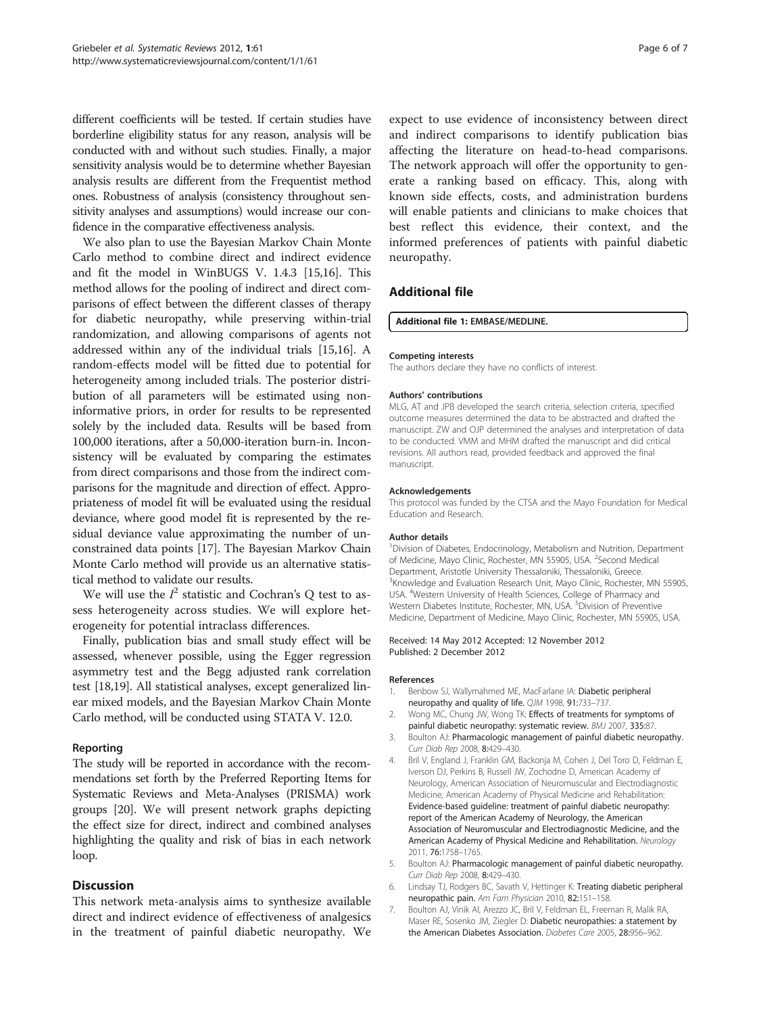<span id="page-5-0"></span>different coefficients will be tested. If certain studies have borderline eligibility status for any reason, analysis will be conducted with and without such studies. Finally, a major sensitivity analysis would be to determine whether Bayesian analysis results are different from the Frequentist method ones. Robustness of analysis (consistency throughout sensitivity analyses and assumptions) would increase our confidence in the comparative effectiveness analysis.

We also plan to use the Bayesian Markov Chain Monte Carlo method to combine direct and indirect evidence and fit the model in WinBUGS V. 1.4.3 [[15,16](#page-6-0)]. This method allows for the pooling of indirect and direct comparisons of effect between the different classes of therapy for diabetic neuropathy, while preserving within-trial randomization, and allowing comparisons of agents not addressed within any of the individual trials [\[15,16\]](#page-6-0). A random-effects model will be fitted due to potential for heterogeneity among included trials. The posterior distribution of all parameters will be estimated using noninformative priors, in order for results to be represented solely by the included data. Results will be based from 100,000 iterations, after a 50,000-iteration burn-in. Inconsistency will be evaluated by comparing the estimates from direct comparisons and those from the indirect comparisons for the magnitude and direction of effect. Appropriateness of model fit will be evaluated using the residual deviance, where good model fit is represented by the residual deviance value approximating the number of unconstrained data points [\[17](#page-6-0)]. The Bayesian Markov Chain Monte Carlo method will provide us an alternative statistical method to validate our results.

We will use the  $I^2$  statistic and Cochran's Q test to assess heterogeneity across studies. We will explore heterogeneity for potential intraclass differences.

Finally, publication bias and small study effect will be assessed, whenever possible, using the Egger regression asymmetry test and the Begg adjusted rank correlation test [\[18,19](#page-6-0)]. All statistical analyses, except generalized linear mixed models, and the Bayesian Markov Chain Monte Carlo method, will be conducted using STATA V. 12.0.

#### Reporting

The study will be reported in accordance with the recommendations set forth by the Preferred Reporting Items for Systematic Reviews and Meta-Analyses (PRISMA) work groups [\[20\]](#page-6-0). We will present network graphs depicting the effect size for direct, indirect and combined analyses highlighting the quality and risk of bias in each network loop.

## **Discussion**

This network meta-analysis aims to synthesize available direct and indirect evidence of effectiveness of analgesics in the treatment of painful diabetic neuropathy. We expect to use evidence of inconsistency between direct and indirect comparisons to identify publication bias affecting the literature on head-to-head comparisons. The network approach will offer the opportunity to generate a ranking based on efficacy. This, along with known side effects, costs, and administration burdens will enable patients and clinicians to make choices that best reflect this evidence, their context, and the informed preferences of patients with painful diabetic neuropathy.

## Additional file

#### [Additional file 1:](http://www.biomedcentral.com/content/supplementary/2046-4053-1-61-S1.doc) EMBASE/MEDLINE.

#### Competing interests

The authors declare they have no conflicts of interest.

#### Authors' contributions

MLG, AT and JPB developed the search criteria, selection criteria, specified outcome measures determined the data to be abstracted and drafted the manuscript. ZW and OJP determined the analyses and interpretation of data to be conducted. VMM and MHM drafted the manuscript and did critical revisions. All authors read, provided feedback and approved the final manuscript.

#### Acknowledgements

This protocol was funded by the CTSA and the Mayo Foundation for Medical Education and Research.

#### Author details

<sup>1</sup> Division of Diabetes, Endocrinology, Metabolism and Nutrition, Department of Medicine, Mayo Clinic, Rochester, MN 55905, USA. <sup>2</sup>Second Medical Department, Aristotle University Thessaloniki, Thessaloniki, Greece. <sup>3</sup> Knowledge and Evaluation Research Unit, Mayo Clinic, Rochester, MN 55905 USA. <sup>4</sup> Western University of Health Sciences, College of Pharmacy and Western Diabetes Institute, Rochester, MN, USA. <sup>5</sup> Division of Preventive Medicine, Department of Medicine, Mayo Clinic, Rochester, MN 55905, USA.

#### Received: 14 May 2012 Accepted: 12 November 2012 Published: 2 December 2012

#### References

- 1. Benbow SJ, Wallymahmed ME, MacFarlane IA: Diabetic peripheral neuropathy and quality of life. QJM 1998, 91:733–737.
- 2. Wong MC, Chung JW, Wong TK: Effects of treatments for symptoms of painful diabetic neuropathy: systematic review. BMJ 2007, 335:87
- 3. Boulton AJ: Pharmacologic management of painful diabetic neuropathy. Curr Diab Rep 2008, 8:429–430.
- 4. Bril V, England J, Franklin GM, Backonja M, Cohen J, Del Toro D, Feldman E, Iverson DJ, Perkins B, Russell JW, Zochodne D, American Academy of Neurology, American Association of Neuromuscular and Electrodiagnostic Medicine, American Academy of Physical Medicine and Rehabilitation: Evidence-based guideline: treatment of painful diabetic neuropathy: report of the American Academy of Neurology, the American Association of Neuromuscular and Electrodiagnostic Medicine, and the American Academy of Physical Medicine and Rehabilitation. Neurology 2011, 76:1758–1765.
- 5. Boulton AJ: Pharmacologic management of painful diabetic neuropathy. Curr Diab Rep 2008, 8:429–430.
- 6. Lindsay TJ, Rodgers BC, Savath V, Hettinger K: Treating diabetic peripheral neuropathic pain. Am Fam Physician 2010, 82:151–158.
- 7. Boulton AJ, Vinik AI, Arezzo JC, Bril V, Feldman EL, Freeman R, Malik RA, Maser RE, Sosenko JM, Ziegler D: Diabetic neuropathies: a statement by the American Diabetes Association. Diabetes Care 2005, 28:956–962.